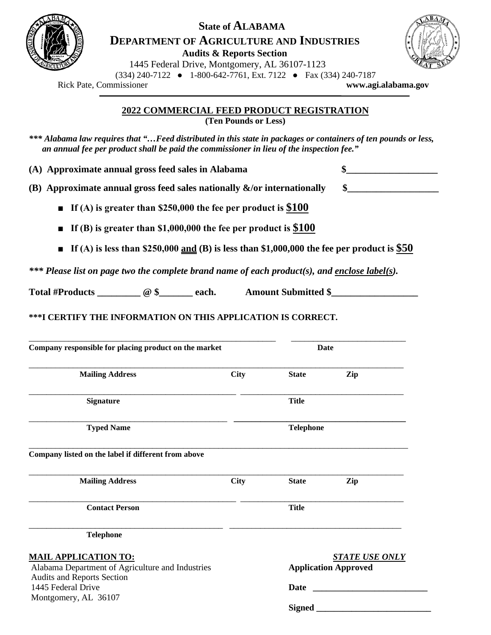

## **State of ALABAMA DEPARTMENT OF AGRICULTURE AND INDUSTRIES**

**Audits & Reports Section**



1445 Federal Drive, Montgomery, AL 36107-1123

 (334) 240-7122 ● 1-800-642-7761, Ext. 7122 ● Fax (334) 240-7187 Rick Pate, Commissioner **[www.agi.alabama.](http://www.agi.alabama/)gov**

**2022 COMMERCIAL FEED PRODUCT REGISTRATION (Ten Pounds or Less)** 

*\*\*\* Alabama law requires that "…Feed distributed in this state in packages or containers of ten pounds or less, an annual fee per product shall be paid the commissioner in lieu of the inspection fee."*

**(A) Approximate annual gross feed sales in Alabama \$\_\_\_\_\_\_\_\_\_\_\_\_\_\_\_\_\_\_\_** 

**(B) Approximate annual gross feed sales nationally &/or internationally \$\_\_\_\_\_\_\_\_\_\_\_\_\_\_\_\_\_\_\_** 

**■ If (A) is greater than \$250,000 the fee per product is \$100**

**■ If (B) is greater than \$1,000,000 the fee per product is \$100**

**■** If (A) is less than \$250,000 <u>and</u> (B) is less than \$1,000,000 the fee per product is  $$50$ 

*\*\*\* Please list on page two the complete brand name of each product(s), and enclose label(s).* 

Total #Products \_\_\_\_\_\_\_\_ @ \$\_\_\_\_\_\_ each. Amount Submitted \$\_\_\_\_\_\_\_\_\_\_\_\_\_\_\_\_\_\_\_\_\_

**\*\*\*I CERTIFY THE INFORMATION ON THIS APPLICATION IS CORRECT.**

| Company responsible for placing product on the market                           |             | Date                                                 |     |
|---------------------------------------------------------------------------------|-------------|------------------------------------------------------|-----|
| <b>Mailing Address</b>                                                          | <b>City</b> | <b>State</b>                                         | Zip |
| <b>Signature</b>                                                                |             | <b>Title</b>                                         |     |
| <b>Typed Name</b>                                                               |             | <b>Telephone</b>                                     |     |
| Company listed on the label if different from above                             |             |                                                      |     |
| <b>Mailing Address</b>                                                          | <b>City</b> | <b>State</b>                                         | Zip |
| <b>Contact Person</b>                                                           |             | <b>Title</b>                                         |     |
| <b>Telephone</b>                                                                |             |                                                      |     |
| <b>MAIL APPLICATION TO:</b><br>Alabama Department of Agriculture and Industries |             | <b>STATE USE ONLY</b><br><b>Application Approved</b> |     |
| Audits and Reports Section<br>1445 Federal Drive                                |             | Date                                                 |     |
| Montgomery, AL 36107                                                            |             |                                                      |     |